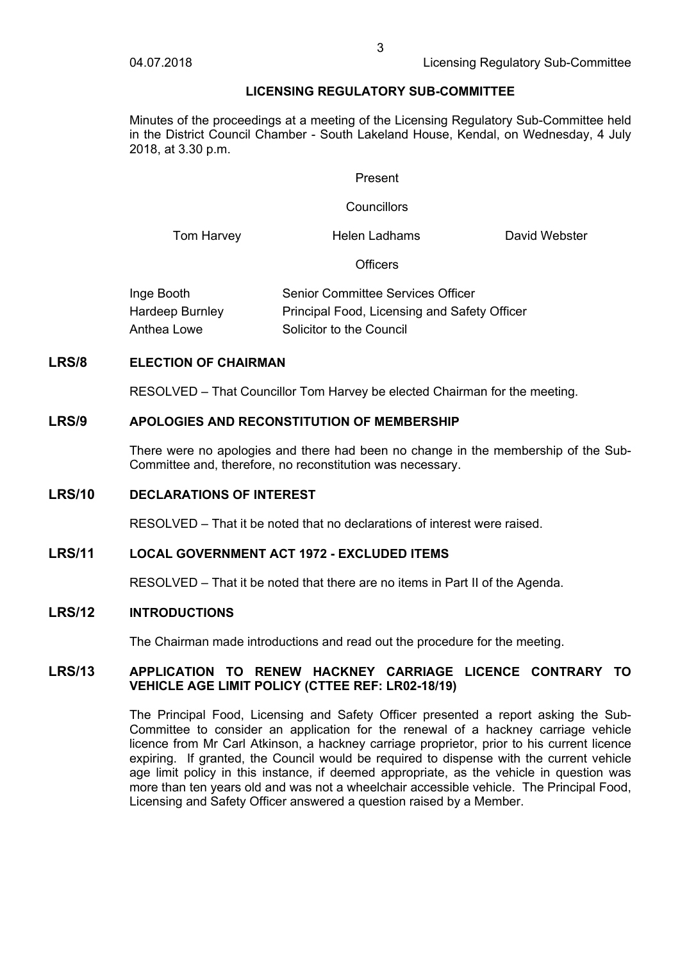# **LICENSING REGULATORY SUB-COMMITTEE**

Minutes of the proceedings at a meeting of the Licensing Regulatory Sub-Committee held in the District Council Chamber - South Lakeland House, Kendal, on Wednesday, 4 July 2018, at 3.30 p.m.

#### Present

#### **Councillors**

Tom Harvey **Helen Ladhams** David Webster

**Officers** 

| Inge Booth      | Senior Committee Services Officer            |
|-----------------|----------------------------------------------|
| Hardeep Burnley | Principal Food, Licensing and Safety Officer |
| Anthea Lowe     | Solicitor to the Council                     |

# **LRS/8 ELECTION OF CHAIRMAN**

RESOLVED – That Councillor Tom Harvey be elected Chairman for the meeting.

#### **LRS/9 APOLOGIES AND RECONSTITUTION OF MEMBERSHIP**

There were no apologies and there had been no change in the membership of the Sub-Committee and, therefore, no reconstitution was necessary.

# **LRS/10 DECLARATIONS OF INTEREST**

RESOLVED – That it be noted that no declarations of interest were raised.

## **LRS/11 LOCAL GOVERNMENT ACT 1972 - EXCLUDED ITEMS**

RESOLVED – That it be noted that there are no items in Part II of the Agenda.

## **LRS/12 INTRODUCTIONS**

The Chairman made introductions and read out the procedure for the meeting.

## **LRS/13 APPLICATION TO RENEW HACKNEY CARRIAGE LICENCE CONTRARY TO VEHICLE AGE LIMIT POLICY (CTTEE REF: LR02-18/19)**

The Principal Food, Licensing and Safety Officer presented a report asking the Sub-Committee to consider an application for the renewal of a hackney carriage vehicle licence from Mr Carl Atkinson, a hackney carriage proprietor, prior to his current licence expiring. If granted, the Council would be required to dispense with the current vehicle age limit policy in this instance, if deemed appropriate, as the vehicle in question was more than ten years old and was not a wheelchair accessible vehicle. The Principal Food, Licensing and Safety Officer answered a question raised by a Member.